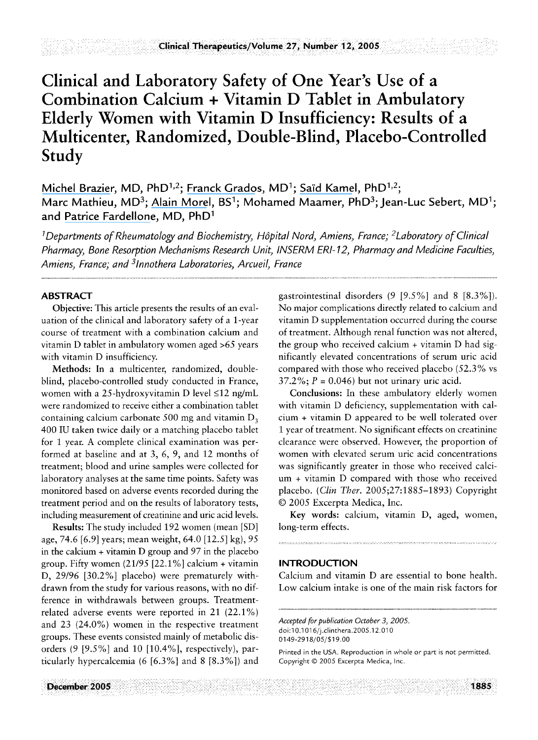# **Clinical and Laboratory Safety of One Year's Use of a Combination Calcium + Vitamin D Tablet in Ambulatory Elderly Women with Vitamin D Insufficiency: Results of a Multicenter, Randomized, Double-Blind, Placebo-Controlled Study**

[Michel Brazier](https://www.researchgate.net/profile/Michel_Brazier?el=1_x_100&enrichId=rgreq-75a2079b65c7d7f54ef4cad57b896970-XXX&enrichSource=Y292ZXJQYWdlOzcyNzExMzM7QVM6MjA5NDA4NzQ0MjY3NzkxQDE0MjY5MzgzNDM5NDY=), MD, PhD<sup>1,2</sup>; [Franck Grados](https://www.researchgate.net/profile/Franck_Grados?el=1_x_100&enrichId=rgreq-75a2079b65c7d7f54ef4cad57b896970-XXX&enrichSource=Y292ZXJQYWdlOzcyNzExMzM7QVM6MjA5NDA4NzQ0MjY3NzkxQDE0MjY5MzgzNDM5NDY=), MD<sup>1</sup>; Saïd Kamel, PhD<sup>1,2</sup>; Marc Mathieu, MD<sup>3</sup>; [Alain Morel](https://www.researchgate.net/profile/Alain_Morel?el=1_x_100&enrichId=rgreq-75a2079b65c7d7f54ef4cad57b896970-XXX&enrichSource=Y292ZXJQYWdlOzcyNzExMzM7QVM6MjA5NDA4NzQ0MjY3NzkxQDE0MjY5MzgzNDM5NDY=), BS<sup>1</sup>; Mohamed Maamer, PhD<sup>3</sup>; Jean-Luc Sebert, MD<sup>1</sup>; and Patrice [Fardellone](https://www.researchgate.net/profile/Patrice_Fardellone?el=1_x_100&enrichId=rgreq-75a2079b65c7d7f54ef4cad57b896970-XXX&enrichSource=Y292ZXJQYWdlOzcyNzExMzM7QVM6MjA5NDA4NzQ0MjY3NzkxQDE0MjY5MzgzNDM5NDY=), MD, PhD<sup>1</sup>

<sup>1</sup>Departments of Rheumatology and Biochemistry, Hôpital Nord, Amiens, France; <sup>2</sup>Laboratory of Clinical *Pharmacy, Bone Resorption Meckanisms Research Unit, INSERM ERI- 12, Pharmacy and Medicine Faculties, Amiens, France; and 31nnothera Laboratories, Arcueil, France* 

# **ABSTRACT**

**Objective:** This article presents the results of an evaluation of the clinical and laboratory safety of a 1-year course of treatment with a combination calcium and vitamin D tablet in ambulatory women aged >65 years with vitamin D insufficiency.

**Methods:** In a multicenter, randomized, doubleblind, placebo-controlled study conducted in France, women with a 25-hydroxyvitamin D level  $\leq$ 12 ng/mL were randomized to receive either a combination tablet containing calcium carbonate 500 mg and vitamin  $D_3$ 400 IU taken twice daily or a matching placebo tablet for 1 year. A complete clinical examination was performed at baseline and at 3, 6, 9, and 12 months of treatment; blood and urine samples were collected for laboratory analyses at the same time points. Safety was monitored based on adverse events recorded during the treatment period and on the results of laboratory tests, including measurement of creatinine and uric acid levels.

**Results:** The study included 192 women (mean [SD] age, 74.6 [6.9] years; mean weight, 64.0 [12.5] kg), 95 in the calcium + vitamin D group and 97 in the placebo group. Fifty women (21/95 [22.1%] calcium + vitamin D, 29/96 [30.2%] placebo) were prematurely withdrawn from the study for various reasons, with no difference in withdrawals between groups. Treatmentrelated adverse events were reported in 21 (22.1%) and 23 (24.0%) women in the respective treatment groups. These events consisted mainly of metabolic disorders (9 [9.5%] and 10 [10.4%], respectively), particularly hypercalcemia (6 [6.3%] and 8 [8.3%]) and gastrointestinal disorders (9 [9.5%] and 8 [8.3%]). No major complications directly related to calcium and vitamin D supplementation occurred during the course of treatment. Although renal function was not altered, the group who received calcium + vitamin D had significantly elevated concentrations of serum uric acid compared with those who received placebo (52.3% vs  $37.2\%$ ;  $P = 0.046$ ) but not urinary uric acid.

**Conclusions:** In these ambulatory elderly women with vitamin D deficiency, supplementation with calcium + vitamin D appeared to be well tolerated over 1 year of treatment. No significant effects on creatinine clearance were observed. However, the proportion of women with elevated serum uric acid concentrations was significantly greater in those who received calcium + vitamin D compared with those who received placebo. *(Clin Ther.* 2005;27:1885-1893) Copyright © 2005 Excerpta Medica, Inc.

**Key words:** calcium, vitamin D, aged, women, long-term effects.

## **INTRODUCTION**

Calcium and vitamin D are essential to bone health. Low calcium intake is one of the main risk factors for

*Accepted for publication October 3, 2005.*  doi: 10.1016/j.clinthera.2005.12.010 0149-2918/05/\$19.00

Printed in the USA. Reproduction in whole or part is not permitted. Copyright © 2005 Excerpta Medica, Inc.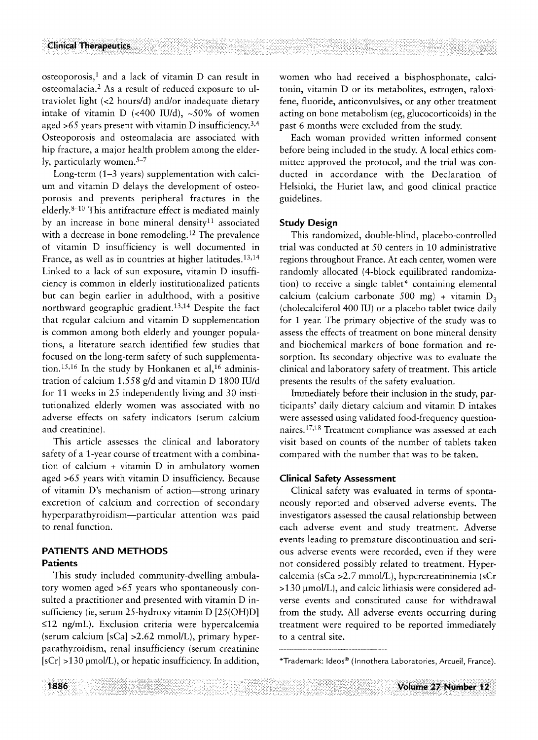$osteoporosis$ <sup>1</sup>, and a lack of vitamin D can result in osteomalacia.<sup>2</sup> As a result of reduced exposure to ultraviolet light (<2 hours/d) and/or inadequate dietary intake of vitamin D (<400 IU/d),  $\sim$ 50% of women aged  $>65$  years present with vitamin D insufficiency.<sup>3,4</sup> Osteoporosis and osteomalacia are associated with hip fracture, a major health problem among the elderly, particularly women. $5-7$ 

Long-term (1-3 years) supplementation with calcium and vitamin D delays the development of osteoporosis and prevents peripheral fractures in the elderly. 8-1° This antifracture effect is mediated mainly by an increase in bone mineral density<sup>11</sup> associated with a decrease in bone remodeling.<sup>12</sup> The prevalence of vitamin D insufficiency is well documented in France, as well as in countries at higher latitudes. 13,14 Linked to a lack of sun exposure, vitamin D insufficiency is common in elderly institutionalized patients but can begin earlier in adulthood, with a positive northward geographic gradient. 13,14 Despite the fact that regular calcium and vitamin D supplementation is common among both elderly and younger populations, a literature search identified few studies that focused on the long-term safety of such supplementation.<sup>15,16</sup> In the study by Honkanen et al,<sup>16</sup> administration of calcium *1.558* g/d and vitamin D 1800 IU/d for 11 weeks in 25 independently living and 30 institutionalized elderly women was associated with no adverse effects on safety indicators (serum calcium and creatinine).

This article assesses the clinical and laboratory safety of a 1-year course of treatment with a combination of calcium + vitamin D in ambulatory women aged >65 years with vitamin D insufficiency. Because of vitamin D's mechanism of action--strong urinary excretion of calcium and correction of secondary hyperparathyroidism--particular attention was paid to renal function.

# **PATIENTS AND METHODS Patients**

This study included community-dwelling ambulatory women aged >65 years who spontaneously consuited a practitioner and presented with vitamin D insufficiency (ie, serum 25-hydroxy vitamin D [25(OH)D]  $\leq$ 12 ng/mL). Exclusion criteria were hypercalcemia (serum calcium  $[sCa] > 2.62$  mmol/L), primary hyperparathyroidism, renal insufficiency (serum creatinine  $[sCr] > 130$  µmol/L), or hepatic insufficiency. In addition,

women who had received a bisphosphonate, calcitonin, vitamin D or its metabolites, estrogen, raloxifene, fluoride, anticonvulsives, or any other treatment acting on bone metabolism (eg, glucocorticoids) in the past 6 months were excluded from the study.

Each woman provided written informed consent before being included in the study. A local ethics committee approved the protocol, and the trial was conducted in accordance with the Declaration of Helsinki, the Huriet law, and good clinical practice guidelines.

## **Study Design**

This randomized, double-blind, placebo-controlled trial was conducted at 50 centers in 10 administrative regions throughout France. At each center, women were randomly allocated (4-block equilibrated randomization) to receive a single tablet\* containing elemental calcium (calcium carbonate 500 mg) + vitamin  $D_3$ (cholecalciferol 400 IU) or a placebo tablet twice daily for 1 year. The primary objective of the study was to assess the effects of treatment on bone mineral density and biochemical markers of bone formation and resorption. Its secondary objective was to evaluate the clinical and laboratory safety of treatment. This article presents the results of the safety evaluation.

Immediately before their inclusion in the study, participants' daily dietary calcium and vitamin D intakes were assessed using validated food-frequency questionnaires. 17,18 Treatment compliance was assessed at each visit based on counts of the number of tablets taken compared with the number that was to be taken.

## **Clinical Safety Assessment**

Clinical safety was evaluated in terms of spontaneously reported and observed adverse events. The investigators assessed the causal relationship between each adverse event and study treatment. Adverse events leading to premature discontinuation and serious adverse events were recorded, even if they were not considered possibly related to treatment. Hypercalcemia (sCa >2.7 mmol/L), hypercreatininemia (sCr >130 pmol/L), and calcic lithiasis were considered adverse events and constituted cause for withdrawal from the study. All adverse events occurring during treatment were required to be reported immediately to a central site.

<sup>\*</sup>Trademark: Ideos ® (Innothera Laboratories, Arcueil, France).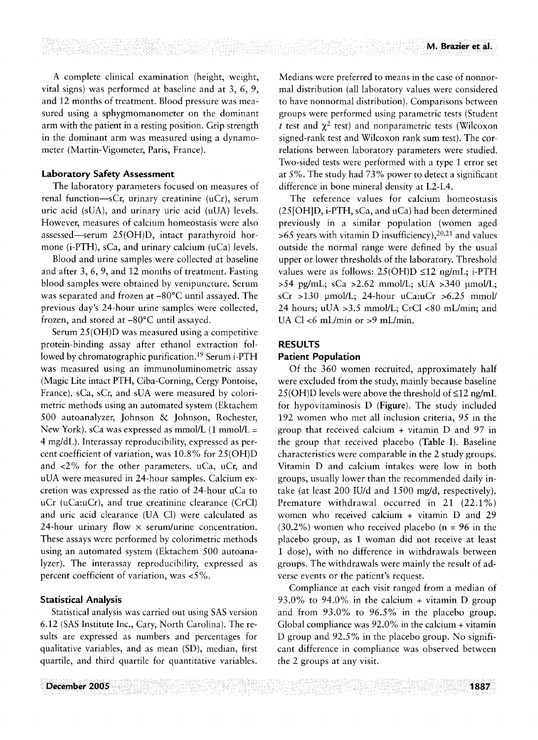A complete clinical examination (height, weight, vital signs) was performed at baseline and at 3, 6, 9, and 12 months of treatment. Blood pressure was measured using a sphygmomanometer on the dominant arm with the patient in a resting position. Grip strength in the dominant arm was measured using a dynamometer (Martin-Vigometer, Paris, France).

#### **Laboratory Safety Assessment**

The laboratory parameters focused on measures of renal function- $-$ sCr, urinary creatinine (uCr), serum uric acid (sUM, and urinary uric acid (uUA) levels. However, measures of calcium homeostasis were also assessed-serum  $25(OH)D$ , intact parathyroid hormone (i-PTH), sCa, and urinary calcium (uCa) levels.

Blood and urine samples were collected at baseline and after 3, 6, 9, and 12 months of treatment. Fasting blood samples were obtained by venipuncture. Serum was separated and frozen at  $-80^{\circ}$ C until assayed. The previous day's 24-hour urine samples were collected, frozen, and stored at -80°C until assayed.

Serum 25(OH)D was measured using a competitive protein-binding assay after ethanol extraction followed by chromatographic purification. 19 Serum i-PTH was measured using an immunoluminometric assay (Magic Lite intact PTH, Ciba-Corning, Cergy Pontoise, France). sCa, sCr, and sUA were measured by colorimetric methods using an automated system (Ektachem 500 autoanalyzer, Johnson & Johnson, Rochester, New York). sCa was expressed as  $mmol/L$  (1 mmol/L = 4 mg/dL). Interassay reproducibility, expressed as percent coefficient of variation, was 10.8% for 25(OH)D and <2% for the other parameters, uCa, uCr, and uUA were measured in 24-hour samples. Calcium excretion was expressed as the ratio of 24-hour uCa to uCr (uCa:uCr), and true creatinine clearance (CrC1) and uric acid clearance (UA C1) were calculated as 24-hour urinary flow  $\times$  serum/urine concentration. These assays were performed by colorimetric methods using an automated system (Ektachem 500 autoanalyzer). The interassay reproducibility, expressed as percent coefficient of variation, was <5%.

#### **Statistical Analysis**

Statistical analysis was carried out using SAS version 6.12 (SAS Institute Inc., Cary, North Carolina). The resuits are expressed as numbers and percentages for qualitative variables, and as mean (SD), median, first quartile, and third quartile for quantitative variables. Medians were preferred to means in the case of nonnormal distribution (all laboratory values were considered to have nonnormal distribution). Comparisons between groups were performed using parametric tests (Student t test and  $\chi^2$  test) and nonparametric tests (Wilcoxon signed-rank test and Wilcoxon rank sum test). The correlations between laboratory parameters were studied. Two-sided tests were performed with a type 1 error set at 5%. The study had 73% power to detect a significant difference in bone mineral density at L2-L4.

The reference values for calcium homeostasis (25[OH]D, i-PTH, sCa, and uCa) had been determined previously in a similar population (women aged  $>65$  years with vitamin D insufficiency),  $20,21$  and values outside the normal range were defined by the usual upper or lower thresholds of the laboratory. Threshold values were as follows:  $25(OH)D \le 12$  ng/mL; i-PTH  $>54$  pg/mL; sCa  $>2.62$  mmol/L; sUA  $>340$  umol/L;  $sCr > 130$  µmol/L; 24-hour uCa:uCr  $>6.25$  mmol/ 24 hours; uUA >3.5 mmol/L; CrC1 <80 mL/min; and UA Cl <6 mL/min or >9 mL/min.

## **RESULTS**

## **Patient Population**

Of the 360 women recruited, approximately half were excluded from the study, mainly because baseline  $25(OH)D$  levels were above the threshold of  $\leq 12$  ng/mL for hypovitaminosis D (Figure). The study included 192 women who met all inclusion criteria, 95 in the group that received calcium + vitamin D and 97 in the group that received placebo (Table I). Baseline characteristics were comparable in the 2 study groups. Vitamin D and calcium intakes were low in both groups, usually lower than the recommended daily intake (at least 200 IU/d and 1500 mg/d, respectively). Premature withdrawal occurred in 21 (22.1%) women who received calcium + vitamin D and 29  $(30.2\%)$  women who received placebo  $(n = 96$  in the placebo group, as 1 woman did not receive at least 1 dose), with no difference in withdrawals between groups. The withdrawals were mainly the result of adverse events or the patient's request.

Compliance at each visit ranged from a median of 93.0% to 94.0% in the calcium + vitamin D group and from 93.0% to 96.5% in the placebo group. Global compliance was 92.0% in the calcium + vitamin D group and 92.5% in the placebo group. No significant difference in compliance was observed between the 2 groups at any visit.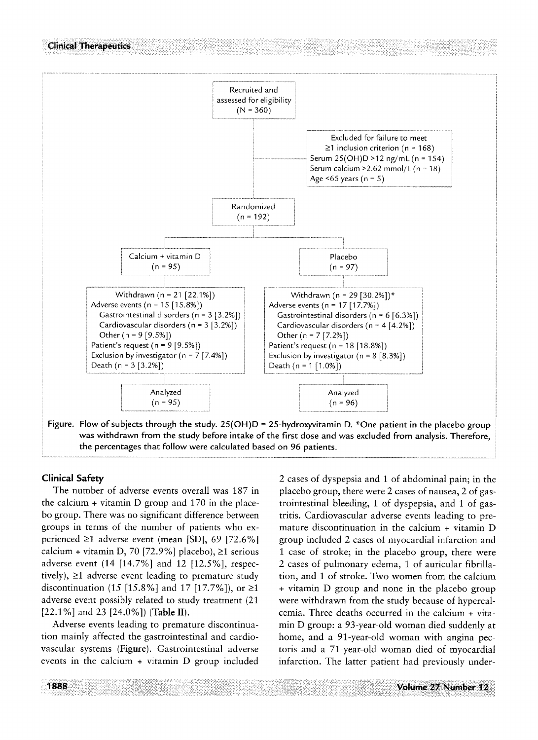

**Clinical Safety** 

The number of adverse events overall was 187 in the calcium + vitamin D group and 170 in the placebo group. There was no significant difference between groups in terms of the number of patients who experienced  $\geq 1$  adverse event (mean [SD], 69 [72.6%] calcium + vitamin D, 70 [72.9%] placebo),  $\geq 1$  serious adverse event (14 [14.7%] and 12 [12.5%], respectively),  $\geq 1$  adverse event leading to premature study discontinuation (15 [15.8%] and 17 [17.7%]), or  $\geq 1$ adverse event possibly related to study treatment (21  $[22.1\%]$  and 23  $[24.0\%]$ ) (Table II).

Adverse events leading to premature discontinuation mainly affected the gastrointestinal and cardiovascular systems (Figure). Gastrointestinal adverse events in the calcium + vitamin D group included 2 cases of dyspepsia and 1 of abdominal pain; in the placebo group, there were 2 cases of nausea, 2 of gastrointestinal bleeding, 1 of dyspepsia, and 1 of gastritis. Cardiovascular adverse events leading to premature discontinuation in the calcium + vitamin D group included 2 cases of myocardial infarction and 1 case of stroke; in the placebo group, there were 2 cases of pulmonary edema, 1 of auricular fibrillation, and I of stroke. Two women from the calcium + vitamin D group and none in the placebo group were withdrawn from the study because of hypercalcemia. Three deaths occurred in the calcium + vitamin D group: a 93-year-old woman died suddenly at home, and a 91-year-old woman with angina pectoris and a 71-year-old woman died of myocardial infarction. The latter patient had previously under-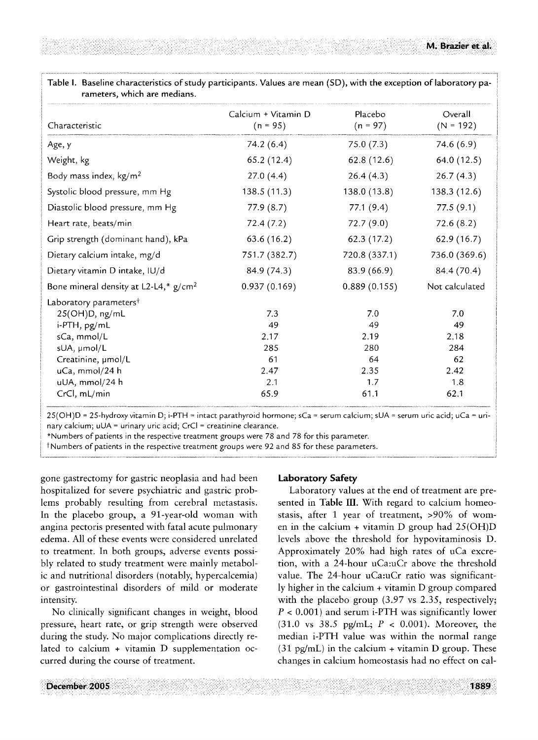| Characteristic                           | Calcium + Vitamin D<br>$(n = 95)$ | Placebo<br>$(n = 97)$ | Overall<br>$(N = 192)$ |
|------------------------------------------|-----------------------------------|-----------------------|------------------------|
| Age, y                                   | 74.2(6.4)                         | 75.0(7.3)             | 74.6(6.9)              |
| Weight, kg                               | 65.2 (12.4)                       | 62.8(12.6)            | 64.0 (12.5)            |
| Body mass index, $kg/m2$                 | 27.0(4.4)                         | 26.4(4.3)             | 26.7(4.3)              |
| Systolic blood pressure, mm Hg           | 138.5(11.3)                       | 138.0(13.8)           | 138.3 (12.6)           |
| Diastolic blood pressure, mm Hg          | 77.9(8.7)                         | 77.1(9.4)             | 77.5(9.1)              |
| Heart rate, beats/min                    | 72.4 (7.2)                        | 72.7(9.0)             | 72.6(8.2)              |
| Grip strength (dominant hand), kPa       | 63.6(16.2)                        | 62.3(17.2)            | 62.9(16.7)             |
| Dietary calcium intake, mg/d             | 751.7 (382.7)                     | 720.8 (337.1)         | 736.0 (369.6)          |
| Dietary vitamin D intake, IU/d           | 84.9 (74.3)                       | 83.9 (66.9)           | 84.4 (70.4)            |
| Bone mineral density at L2-L4,* $g/cm^2$ | 0.937(0.169)                      | 0.889(0.155)          | Not calculated         |
| Laboratory parameters <sup>†</sup>       |                                   |                       |                        |
| 25(OH)D, ng/mL                           | 7.3                               | 7.0                   | 7.0                    |
| i-PTH, pg/mL                             | 49                                | 49                    | 49                     |
| sCa, mmol/L                              | 2.17                              | 2.19                  | 2.18                   |
| sUA, µmol/L                              | 285                               | 280                   | 284                    |
| Creatinine, umol/L                       | 61                                | 64                    | 62                     |
| uCa, mmol/24 h                           | 2.47                              | 2.35                  | 2.42                   |
| uUA, mmol/24 h                           | 2.1                               | 1.7                   | 1.8                    |
| CrCl, mL/min                             | 65.9                              | 61.1                  | 62.1                   |

.<br>25(OH)D = 25-hydroxy vitamin D; i-PTH = intact parathyroid hormone; sCa = serum calcium; sUA = serum uric acid; uCa = uri- │ nary calcium; uUA = urinary uric acid; CrCl = creatinine clearance.

\*Numbers of patients in the respective treatment groups were 78 and 78 For this parameter. !

<sup>†</sup>Numbers of patients in the respective treatment groups were 92 and 85 for these parameters.

gone gastrectomy for gastric neoplasia and had been hospitalized for severe psychiatric and gastric problems probably resulting from cerebral metastasis. In the placebo group, a 91-year-old woman with angina pectoris presented with fatal acute pulmonary edema. All of these events were considered unrelated to treatment. In both groups, adverse events possibly related to study treatment were mainly metabolic and nutritional disorders (notably, hypercalcemia) or gastrointestinal disorders of mild or moderate intensity.

No clinically significant changes in weight, blood pressure, heart rate, or grip strength were observed during the study. No major complications directly related to calcium ÷ vitamin D supplementation occurred during the course of treatment.

#### **Laboratory Safety**

Laboratory values at the end of treatment are presented in Table III. With regard to calcium homeostasis, after 1 year of treatment, >90% of women in the calcium + vitamin D group had  $25(OH)D$ levels above the threshold for hypovitaminosis D. Approximately 20% had high rates of uCa excretion, with a 24-hour uCa:uCr above the threshold value. The 24-hour uCa:uCr ratio was significantly higher in the calcium + vitamin D group compared with the placebo group (3.97 vs 2.35, respectively;  $P < 0.001$ ) and serum i-PTH was significantly lower  $(31.0 \text{ vs } 38.5 \text{ pg/mL}; P < 0.001)$ . Moreover, the median i-PTH value was within the normal range  $(31 \text{ pg/mL})$  in the calcium + vitamin D group. These changes in calcium homeostasis had no effect on cal-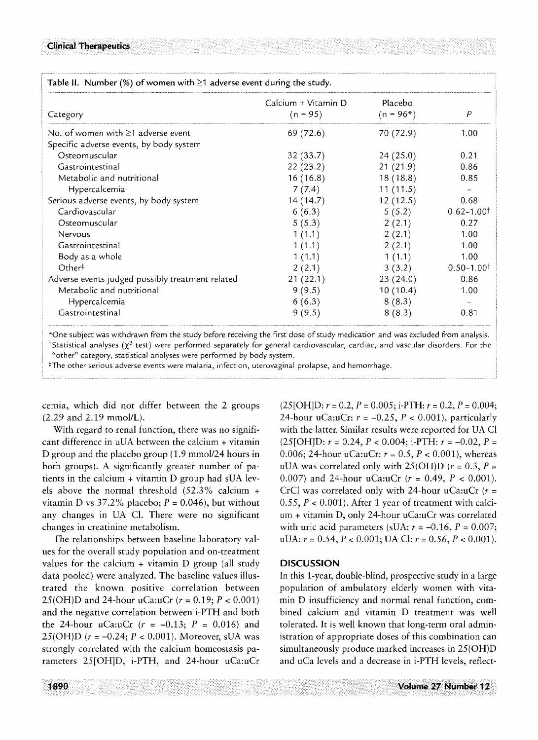| Table II. Number (%) of women with $\geq 1$ adverse event during the study. |                                   |                        |                            |
|-----------------------------------------------------------------------------|-----------------------------------|------------------------|----------------------------|
| Category                                                                    | Calcium + Vitamin D<br>$(n = 95)$ | Placebo<br>$(n = 96*)$ | $\overline{P}$             |
| No. of women with $\geq 1$ adverse event                                    | 69 (72.6)                         | 70 (72.9)              | 1.00                       |
| Specific adverse events, by body system                                     |                                   |                        |                            |
| Osteomuscular                                                               | 32(33.7)                          | 24(25.0)               | 0.21                       |
| Gastrointestinal                                                            | 22(23.2)                          | 21(21.9)               | 0.86                       |
| Metabolic and nutritional                                                   | 16(16.8)                          | 18(18.8)               | 0.85                       |
| Hypercalcemia                                                               | 7(7.4)                            | 11(11.5)               |                            |
| Serious adverse events, by body system                                      | 14 (14.7)                         | 12(12.5)               | 0.68                       |
| Cardiovascular                                                              | 6(6.3)                            | 5(5.2)                 | $0.62 - 1.00$ <sup>†</sup> |
| Osteomuscular                                                               | 5(5.3)                            | 2(2.1)                 | 0.27                       |
| Nervous                                                                     | 1(1.1)                            | 2(2.1)                 | 1.00                       |
| Gastrointestinal                                                            | 1(1.1)                            | 2(2.1)                 | 1.00                       |
| Body as a whole                                                             | 1(1.1)                            | 1(1.1)                 | 1.00                       |
| Other <sup>†</sup>                                                          | 2(2.1)                            | 3(3.2)                 | $0.50 - 1.00$ <sup>†</sup> |
| Adverse events judged possibly treatment related                            | 21(22.1)                          | 23(24.0)               | 0.86                       |
| Metabolic and nutritional                                                   | 9(9.5)                            | 10(10.4)               | 1.00                       |
| Hypercalcemia                                                               | 6(6.3)                            | 8(8.3)                 |                            |
| Gastrointestinal                                                            | 9(9.5)                            | 8(8.3)                 | 0.81                       |

\*One subject was withdrawn from the study before receiving the first dose of study medication and was excluded from analysis. <sup>†</sup>Statistical analyses ( $\chi^2$  test) were performed separately for general cardiovascular, cardiac, and vascular disorders. For the "other" category, statistical analyses were performed by body system.

\*The other serious adverse events were malaria, infection, uterovaginal prolapse, and hemorrhage.

cemia, which did not differ between the 2 groups (2.29 and 2.19 mmol/L).

With regard to renal function, there was no significant difference in uUA between the calcium + vitamin D group and the placebo group (1.9 mmol/24 hours in both groups). A significantly greater number of patients in the calcium + vitamin D group had sUA levels above the normal threshold (52.3% calcium + vitamin D vs  $37.2\%$  placebo;  $P = 0.046$ ), but without any changes in UA C1. There were no significant changes in creatinine metabolism.

The relationships between baseline laboratory values for the overall study population and on-treatment values for the calcium  $+$  vitamin D group (all study data pooled) were analyzed. The baseline values illustrated the known positive correlation between 25(OH)D and 24-hour uCa:uCr  $(r = 0.19; P < 0.001)$ and the negative correlation between i-PTH and both the 24-hour uCa:uCr  $(r = -0.13; P = 0.016)$  and 25(OH)D ( $r = -0.24$ ;  $P < 0.001$ ). Moreover, sUA was strongly correlated with the calcium homeostasis parameters 25[OH]D, i-PTH, and 24-hour uCa:uCr  $(25[OH]D: r = 0.2, P = 0.005; i-PTH: r = 0.2, P = 0.004;$ 24-hour uCa:uCr:  $r = -0.25$ ,  $P < 0.001$ ), particularly with the latter. Similar results were reported for UA C1  $(25[OH]D: r = 0.24, P < 0.004; i-PTH: r = -0.02, P =$ 0.006; 24-hour uCa:uCr:  $r = 0.5$ ,  $P < 0.001$ ), whereas uUA was correlated only with  $25(OH)D$  ( $r = 0.3$ ,  $P =$ 0.007) and 24-hour uCa:uCr  $(r = 0.49, P < 0.001)$ . CrCl was correlated only with 24-hour uCa:uCr  $(r =$ 0.55,  $P < 0.001$ ). After 1 year of treatment with calcium + vitamin D, only 24-hour uCa:uCr was correlated with uric acid parameters (sUA:  $r = -0.16$ ,  $P = 0.007$ ; uUA:  $r = 0.54$ ,  $P < 0.001$ ; UA Cl:  $r = 0.56$ ,  $P < 0.001$ ).

#### **DISCUSSION**

In this 1-year, double-blind, prospective study in a large population of ambulatory elderly women with vitamin D insufficiency and normal renal function, combined calcium and vitamin D treatment was well tolerated. It is well known that long-term oral administration of appropriate doses of this combination can simultaneously produce marked increases in 25(OH)D and uCa levels and a decrease in i-PTH levels, reflect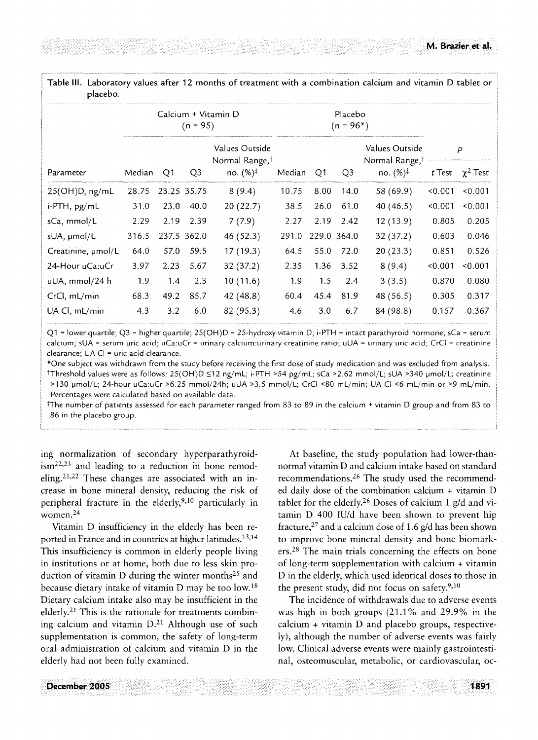Table III. Laboratory values after 12 months of treatment with a combination calcium and vitamin D tablet or placebo.

|                         | Calcium + Vitamin D<br>$(n = 95)$ |      |                |                                              | Placebo<br>$(n = 96*)$ |      |             |                                              |         |                             |
|-------------------------|-----------------------------------|------|----------------|----------------------------------------------|------------------------|------|-------------|----------------------------------------------|---------|-----------------------------|
|                         |                                   |      |                | Values Outside<br>Normal Range, <sup>†</sup> |                        |      |             | Values Outside<br>Normal Range, <sup>†</sup> | P       |                             |
| Parameter               | Median                            | Q1   | Q <sub>3</sub> | no. $(\%)^{\dagger}$                         | Median                 | Q1   | Q3          | no. $(%)^{\ddagger}$                         |         | <i>t</i> Test $\chi^2$ Test |
| 25(OH)D, ng/mL          | 28.75                             |      | 23.25 35.75    | 8(9.4)                                       | 10.75                  | 8.00 | 14.0        | 58 (69.9)                                    | < 0.001 | 0.001                       |
| i-PTH, pg/mL            | 31.0                              | 23.0 | 40.0           | 20(22.7)                                     | 38.5                   | 26.0 | 61.0        | 40(46.5)                                     | < 0.001 | 0.001                       |
| sCa, mmol/L             | 2.29                              | 2.19 | 2.39           | 7(7.9)                                       | 2.27                   | 2.19 | 2.42        | 12(13.9)                                     | 0.805   | 0.205                       |
| sUA, µmol/L             | 316.5                             |      | 237.5 362.0    | 46(52.3)                                     | 291.0                  |      | 229.0 364.0 | 32 (37.2)                                    | 0.603   | 0.046                       |
| Creatinine, $\mu$ mol/L | 64.0                              | 57.0 | 59.5           | 17(19.3)                                     | 64.5                   | 55.0 | 72.0        | 20(23.3)                                     | 0.851   | 0.526                       |
| 24-Hour uCa:uCr         | 3.97                              | 2.23 | 5.67           | 32(37.2)                                     | 2.35                   | 1.36 | 3.52        | 8(9.4)                                       | 0.001   | 0.001                       |
| uUA, mmol/24 h          | 1.9                               | 1.4  | 2.3            | 10(11.6)                                     | 1.9                    | 1.5  | 2.4         | 3(3.5)                                       | 0.870   | 0.080                       |
| CrCl, mL/min            | 68.3                              | 49.2 | 85.7           | 42 (48.8)                                    | 60.4                   | 45.4 | 81.9        | 48 (56.5)                                    | 0.305   | 0.317                       |
| UA CI, mL/min           | 4.3                               | 3.2  | 6.0            | 82 (95.3)                                    | 4.6                    | 3.0  | 6.7         | 84 (98.8)                                    | 0.157   | 0.367                       |
|                         |                                   |      |                |                                              |                        |      |             |                                              |         |                             |

Q1 = lower quartile; Q3 = higher quartile; 25(OH)D = 25-hydroxy vitamin D; i-PTH = intact parathyroid hormone; sCa = serum  $\parallel$ calcium; sUA = serum uric acid; uCa:uCr = urinary calcium:urinary creatinine ratio; uUA = urinary uric acid; CrCl = creatinine clearance; UA CI = uric acid clearance.

\*One subject was withdrawn from the study before receiving the first dose of study medication and was excluded from analysis. †Threshold values were as follows: 25(OH)D ≤12 ng/mL; i-PTH >54 pg/mL; sCa >2.62 mmol/L; sUA >340 μmol/L; creatinine >130 pmol/L; 24-hour uCa:uCr >6.25 mmol/24h; uUA >3.5 mmol/L; CrCl <80 mL/min; UA Cl <6 mL/min or >9 mL/min. Percentages were calculated based on available data.

q-he number of patients assessed for each parameter ranged from 83 to 89 in the calcium + vitamin D group and from 83 to 86 in the placebo group.

ing normalization of secondary hyperparathyroid $ism<sup>22,23</sup>$  and leading to a reduction in bone remodeling. 21,22 These changes are associated with an increase in bone mineral density, reducing the risk of peripheral fracture in the elderly,  $9,10$  particularly in women.<sup>24</sup>

Vitamin D insufficiency in the elderly has been reported in France and in countries at higher latitudes.<sup>13,14</sup> This insufficiency is common in elderly people living in institutions or at home, both due to less skin production of vitamin D during the winter months<sup>25</sup> and because dietary intake of vitamin D may be too low. 18 Dietary calcium intake also may be insufficient in the elderly.<sup>21</sup> This is the rationale for treatments combining calcium and vitamin  $D<sup>21</sup>$  Although use of such supplementation is common, the safety of long-term oral administration of calcium and vitamin D in the elderly had not been fully examined.

At baseline, the study population had lower-thannormal vitamin D and calcium intake based on standard recommendations. 26 The study used the recommended daily dose of the combination calcium + vitamin D tablet for the elderly.<sup>26</sup> Doses of calcium 1 g/d and vitamin D 400 IU/d have been shown to prevent hip fracture,  $27$  and a calcium dose of 1.6 g/d has been shown to improve bone mineral density and bone biomarkers.<sup>28</sup> The main trials concerning the effects on bone of long-term supplementation with calcium + vitamin D in the elderly, which used identical doses to those in the present study, did not focus on safety. $9,10$ 

The incidence of withdrawals due to adverse events was high in both groups (21.1% and 29.9% in the calcium + vitamin D and placebo groups, respectively), although the number of adverse events was fairly low. Clinical adverse events were mainly gastrointestinal, osteomuscular, metabolic, or cardiovascular, oc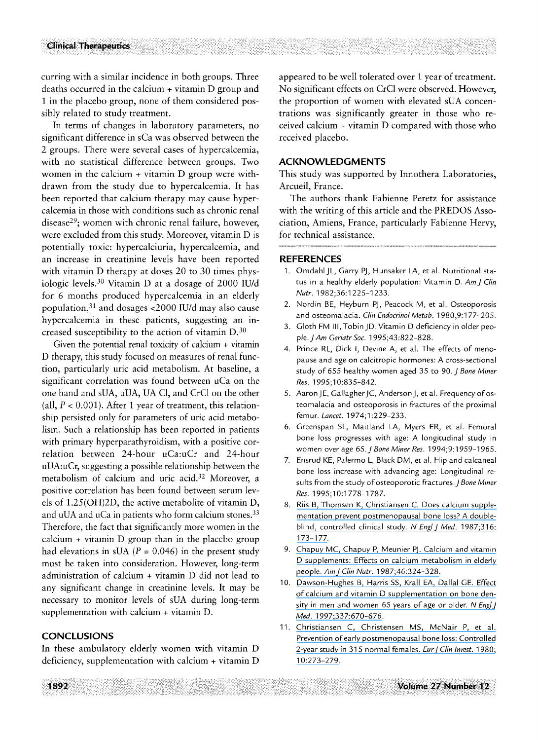curring with a similar incidence in both groups. Three deaths occurred in the calcium + vitamin D group and 1 in the placebo group, none of them considered possibly related to study treatment.

In terms of changes in laboratory parameters, no significant difference in sCa was observed between the 2 groups. There were several cases of hypercalcemia, with no statistical difference between groups. Two women in the calcium + vitamin D group were withdrawn from the study due to hypercalcemia. It has been reported that calcium therapy may cause hypercalcemia in those with conditions such as chronic renal disease29; women with chronic renal failure, however, were excluded from this study. Moreover, vitamin D is potentially toxic: hypercalciuria, hypercalcemia, and an increase in creatinine levels have been reported with vitamin D therapy at doses 20 to 30 times physiologic levels. 3° Vitamin D at a dosage of 2000 IU/d for 6 months produced hypercalcemia in an elderly population, 31 and dosages <2000 IU/d may also cause hypercalcemia in these patients, suggesting an increased susceptibility to the action of vitamin  $D<sup>30</sup>$ 

Given the potential renal toxicity of calcium + vitamin D therapy, this study focused on measures of renal function, particularly uric acid metabolism. At baseline, a significant correlation was found between uCa on the one hand and sUA, uUA, UA C1, and CrC1 on the other (all,  $P < 0.001$ ). After 1 year of treatment, this relationship persisted only for parameters of uric acid metabolism. Such a relationship has been reported in patients with primary hyperparathyroidism, with a positive correlation between 24-hour uCa:uCr and 24-hour uUA:uCr, suggesting a possible relationship between the metabolism of calcium and uric acid.<sup>32</sup> Moreover, a positive correlation has been found between serum levels of 1.25(OH)2D, the active metabolite of vitamin D, and uUA and uCa in patients who form calcium stones.<sup>33</sup> Therefore, the fact that significantly more women in the calcium + vitamin D group than in the placebo group had elevations in sUA ( $P = 0.046$ ) in the present study must be taken into consideration. However, long-term administration of calcium + vitamin D did not lead to any significant change in creatinine levels. It may be necessary to monitor levels of sUA during long-term supplementation with calcium + vitamin D.

#### **CONCLUSIONS**

In these ambulatory elderly women with vitamin D deficiency, supplementation with calcium + vitamin D

appeared to be well tolerated over 1 year of treatment. No significant effects on CrC1 were observed. However, the proportion of women with elevated sUA concentrations was significantly greater in those who received calcium + vitamin D compared with those who received placebo.

### **ACKNOWLEDGM ENTS**

This study was supported by Innothera Laboratories, Arcueil, France.

The authors thank Fabienne Peretz for assistance with the writing of this article and the PREDOS Association, Amiens, France, particularly Fabienne Hervy, for technical assistance.

#### **REFERENCES**

- 1. Omdahl JL, Garry PJ, Hunsaker LA, et al. Nutritional status in a healthy elderly population: Vitamin D. *AmJ Clin Nutr.* 1982;36:1225-1233.
- 2. Nordin BE, Heyburn PJ, Peacock M, et al. Osteoporosis and osteomalacia. *Clin Endocrinol Metab.* 1980,9:177-205.
- 3. Gloth FM III, Tobin JD. Vitamin D deficiency in older peo*ple.JAm Geriatr Soc.* 1995;43:822-828.
- 4. Prince RL, Dick I, Devine A, et al. The effects of menopause and age on calcitropic hormones: A cross-sectional study of 655 healthy women aged 35 to 90.J *Bone Miner Res.* 1995;10:835-842.
- 5. Aaron JE, Gallagher JC, Anderson J, et al. Frequency of osteomalacia and osteoporosis in fractures of the proximal femur. *Lancet. 1974;1:229-233.*
- 6. Greenspan *SL,* Maitland LA, Myers ER, et al. Femoral bone loss progresses with age: A longitudinal study in women *over* age *65. J Bane Miner Res. 1994;9:1959-1965.*
- 7. Ensrud KE, Palermo L, Black DM, et al. Hip and calcaneal bone loss increase with advancing age: Longitudinal results from the study of osteoporotic fractures. *J Bone Miner Res.* 1995;10:1778-1787.
- 8. [Riis B, Thomsen K, Christiansen C. Does calcium supple](https://www.researchgate.net/publication/19620591_Does_Calcium_Supplementation_Prevent_Postmenopausal_Bone_Loss?el=1_x_8&enrichId=rgreq-75a2079b65c7d7f54ef4cad57b896970-XXX&enrichSource=Y292ZXJQYWdlOzcyNzExMzM7QVM6MjA5NDA4NzQ0MjY3NzkxQDE0MjY5MzgzNDM5NDY=)[mentation prevent postmenopausal bone loss? A double](https://www.researchgate.net/publication/19620591_Does_Calcium_Supplementation_Prevent_Postmenopausal_Bone_Loss?el=1_x_8&enrichId=rgreq-75a2079b65c7d7f54ef4cad57b896970-XXX&enrichSource=Y292ZXJQYWdlOzcyNzExMzM7QVM6MjA5NDA4NzQ0MjY3NzkxQDE0MjY5MzgzNDM5NDY=)[blind, controlled clinical study.](https://www.researchgate.net/publication/19620591_Does_Calcium_Supplementation_Prevent_Postmenopausal_Bone_Loss?el=1_x_8&enrichId=rgreq-75a2079b65c7d7f54ef4cad57b896970-XXX&enrichSource=Y292ZXJQYWdlOzcyNzExMzM7QVM6MjA5NDA4NzQ0MjY3NzkxQDE0MjY5MzgzNDM5NDY=) *N EnglJ Med.* 1987;316: [1 73-177.](https://www.researchgate.net/publication/19620591_Does_Calcium_Supplementation_Prevent_Postmenopausal_Bone_Loss?el=1_x_8&enrichId=rgreq-75a2079b65c7d7f54ef4cad57b896970-XXX&enrichSource=Y292ZXJQYWdlOzcyNzExMzM7QVM6MjA5NDA4NzQ0MjY3NzkxQDE0MjY5MzgzNDM5NDY=)
- 9. [Chapuy MC, Chapuy P, Meunier PJ. Calcium and vitamin](https://www.researchgate.net/publication/19663466_Calcium_and_vitamin_D_supplements_Effects_on_calcium_metabolism_in_elderly_people?el=1_x_8&enrichId=rgreq-75a2079b65c7d7f54ef4cad57b896970-XXX&enrichSource=Y292ZXJQYWdlOzcyNzExMzM7QVM6MjA5NDA4NzQ0MjY3NzkxQDE0MjY5MzgzNDM5NDY=)  [D supplements: Effects on calcium metabolism in elderly](https://www.researchgate.net/publication/19663466_Calcium_and_vitamin_D_supplements_Effects_on_calcium_metabolism_in_elderly_people?el=1_x_8&enrichId=rgreq-75a2079b65c7d7f54ef4cad57b896970-XXX&enrichSource=Y292ZXJQYWdlOzcyNzExMzM7QVM6MjA5NDA4NzQ0MjY3NzkxQDE0MjY5MzgzNDM5NDY=) people. *AmJ Clin Nutr.* [1987;46:324-328.](https://www.researchgate.net/publication/19663466_Calcium_and_vitamin_D_supplements_Effects_on_calcium_metabolism_in_elderly_people?el=1_x_8&enrichId=rgreq-75a2079b65c7d7f54ef4cad57b896970-XXX&enrichSource=Y292ZXJQYWdlOzcyNzExMzM7QVM6MjA5NDA4NzQ0MjY3NzkxQDE0MjY5MzgzNDM5NDY=)
- 10. [Dawson-Hughes B, Harris SS, Krall EA, Dallal GE. Effect](https://www.researchgate.net/publication/13943048_Effect_of_Calcium_and_Vitamin_D_Supplementation_on_Bone_Density_in_Men_and_Women_65_Years_of_Age_or_Older?el=1_x_8&enrichId=rgreq-75a2079b65c7d7f54ef4cad57b896970-XXX&enrichSource=Y292ZXJQYWdlOzcyNzExMzM7QVM6MjA5NDA4NzQ0MjY3NzkxQDE0MjY5MzgzNDM5NDY=) [of calcium and vitamin D supplementation on bone den](https://www.researchgate.net/publication/13943048_Effect_of_Calcium_and_Vitamin_D_Supplementation_on_Bone_Density_in_Men_and_Women_65_Years_of_Age_or_Older?el=1_x_8&enrichId=rgreq-75a2079b65c7d7f54ef4cad57b896970-XXX&enrichSource=Y292ZXJQYWdlOzcyNzExMzM7QVM6MjA5NDA4NzQ0MjY3NzkxQDE0MjY5MzgzNDM5NDY=)[sity in men and women 65 years of age or older.](https://www.researchgate.net/publication/13943048_Effect_of_Calcium_and_Vitamin_D_Supplementation_on_Bone_Density_in_Men_and_Women_65_Years_of_Age_or_Older?el=1_x_8&enrichId=rgreq-75a2079b65c7d7f54ef4cad57b896970-XXX&enrichSource=Y292ZXJQYWdlOzcyNzExMzM7QVM6MjA5NDA4NzQ0MjY3NzkxQDE0MjY5MzgzNDM5NDY=) *N Engl J Med.* [1997;337:670-676.](https://www.researchgate.net/publication/13943048_Effect_of_Calcium_and_Vitamin_D_Supplementation_on_Bone_Density_in_Men_and_Women_65_Years_of_Age_or_Older?el=1_x_8&enrichId=rgreq-75a2079b65c7d7f54ef4cad57b896970-XXX&enrichSource=Y292ZXJQYWdlOzcyNzExMzM7QVM6MjA5NDA4NzQ0MjY3NzkxQDE0MjY5MzgzNDM5NDY=)
- 11. [Christiansen C, Christensen MS, McNair P, et al.](https://www.researchgate.net/publication/16939929_Prevention_of_early_post-menopausal_bone_mineral_loss_Controlled_2-year_study_of_315_women?el=1_x_8&enrichId=rgreq-75a2079b65c7d7f54ef4cad57b896970-XXX&enrichSource=Y292ZXJQYWdlOzcyNzExMzM7QVM6MjA5NDA4NzQ0MjY3NzkxQDE0MjY5MzgzNDM5NDY=) [Prevention of early postmenopausal bone loss: Controlled](https://www.researchgate.net/publication/16939929_Prevention_of_early_post-menopausal_bone_mineral_loss_Controlled_2-year_study_of_315_women?el=1_x_8&enrichId=rgreq-75a2079b65c7d7f54ef4cad57b896970-XXX&enrichSource=Y292ZXJQYWdlOzcyNzExMzM7QVM6MjA5NDA4NzQ0MjY3NzkxQDE0MjY5MzgzNDM5NDY=) [2-year study in 315 normal females.](https://www.researchgate.net/publication/16939929_Prevention_of_early_post-menopausal_bone_mineral_loss_Controlled_2-year_study_of_315_women?el=1_x_8&enrichId=rgreq-75a2079b65c7d7f54ef4cad57b896970-XXX&enrichSource=Y292ZXJQYWdlOzcyNzExMzM7QVM6MjA5NDA4NzQ0MjY3NzkxQDE0MjY5MzgzNDM5NDY=) *EurJ Clin Invest.* 1980; [10:273-279.](https://www.researchgate.net/publication/16939929_Prevention_of_early_post-menopausal_bone_mineral_loss_Controlled_2-year_study_of_315_women?el=1_x_8&enrichId=rgreq-75a2079b65c7d7f54ef4cad57b896970-XXX&enrichSource=Y292ZXJQYWdlOzcyNzExMzM7QVM6MjA5NDA4NzQ0MjY3NzkxQDE0MjY5MzgzNDM5NDY=)